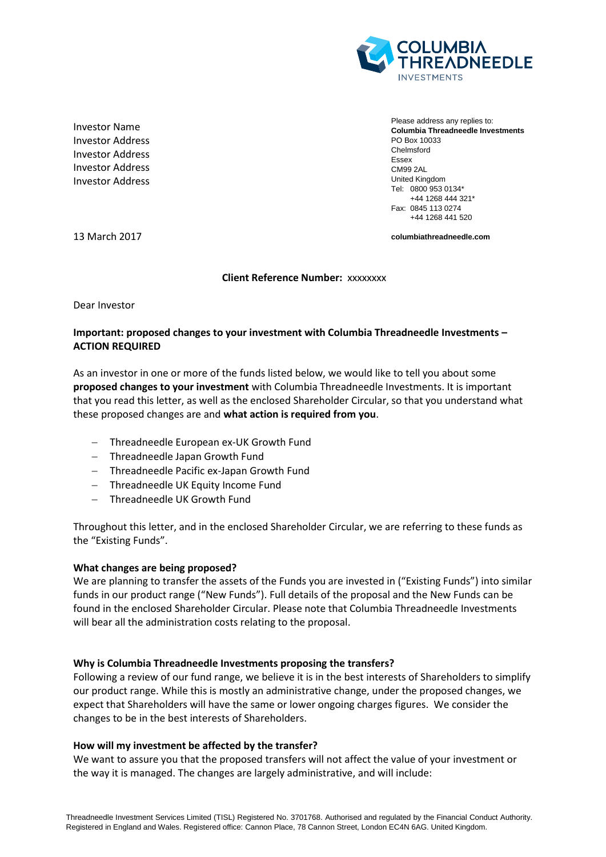

Investor Name Investor Address Investor Address Investor Address Investor Address

Please address any replies to: **Columbia Threadneedle Investments** PO Box 10033 Chelmsford Essex CM99 2AL United Kingdom Tel: 0800 953 0134\* +44 1268 444 321\* Fax: 0845 113 0274 +44 1268 441 520

13 March 2017

**columbiathreadneedle.com**

#### **Client Reference Number:** xxxxxxxx

Dear Investor

# **Important: proposed changes to your investment with Columbia Threadneedle Investments – ACTION REQUIRED**

As an investor in one or more of the funds listed below, we would like to tell you about some **proposed changes to your investment** with Columbia Threadneedle Investments. It is important that you read this letter, as well as the enclosed Shareholder Circular, so that you understand what these proposed changes are and **what action is required from you**.

- Threadneedle European ex-UK Growth Fund
- Threadneedle Japan Growth Fund
- Threadneedle Pacific ex-Japan Growth Fund
- Threadneedle UK Equity Income Fund
- Threadneedle UK Growth Fund

Throughout this letter, and in the enclosed Shareholder Circular, we are referring to these funds as the "Existing Funds".

### **What changes are being proposed?**

We are planning to transfer the assets of the Funds you are invested in ("Existing Funds") into similar funds in our product range ("New Funds"). Full details of the proposal and the New Funds can be found in the enclosed Shareholder Circular. Please note that Columbia Threadneedle Investments will bear all the administration costs relating to the proposal.

### **Why is Columbia Threadneedle Investments proposing the transfers?**

Following a review of our fund range, we believe it is in the best interests of Shareholders to simplify our product range. While this is mostly an administrative change, under the proposed changes, we expect that Shareholders will have the same or lower ongoing charges figures. We consider the changes to be in the best interests of Shareholders.

### **How will my investment be affected by the transfer?**

We want to assure you that the proposed transfers will not affect the value of your investment or the way it is managed. The changes are largely administrative, and will include: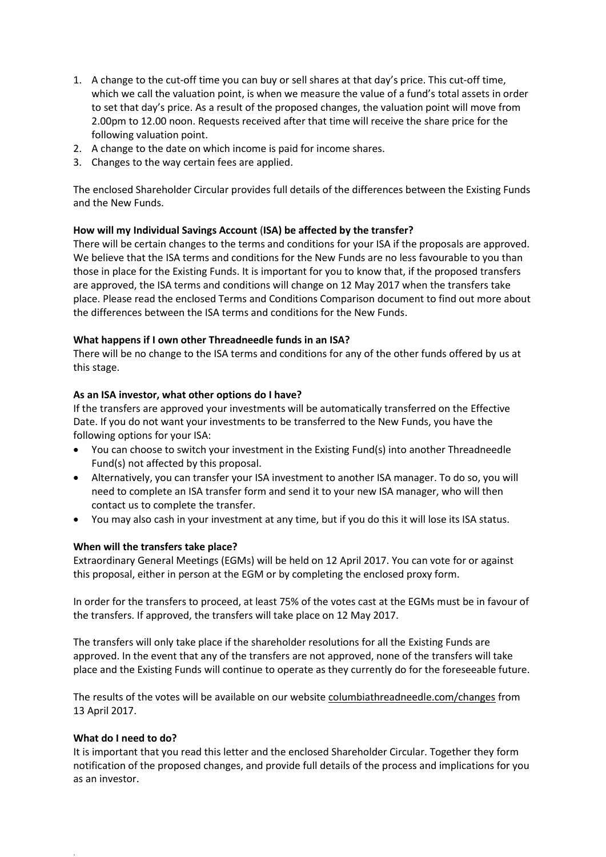- 1. A change to the cut-off time you can buy or sell shares at that day's price. This cut-off time, which we call the valuation point, is when we measure the value of a fund's total assets in order to set that day's price. As a result of the proposed changes, the valuation point will move from 2.00pm to 12.00 noon. Requests received after that time will receive the share price for the following valuation point.
- 2. A change to the date on which income is paid for income shares.
- 3. Changes to the way certain fees are applied.

The enclosed Shareholder Circular provides full details of the differences between the Existing Funds and the New Funds.

### **How will my Individual Savings Account** (**ISA) be affected by the transfer?**

There will be certain changes to the terms and conditions for your ISA if the proposals are approved. We believe that the ISA terms and conditions for the New Funds are no less favourable to you than those in place for the Existing Funds. It is important for you to know that, if the proposed transfers are approved, the ISA terms and conditions will change on 12 May 2017 when the transfers take place. Please read the enclosed Terms and Conditions Comparison document to find out more about the differences between the ISA terms and conditions for the New Funds.

# **What happens if I own other Threadneedle funds in an ISA?**

There will be no change to the ISA terms and conditions for any of the other funds offered by us at this stage.

# **As an ISA investor, what other options do I have?**

If the transfers are approved your investments will be automatically transferred on the Effective Date. If you do not want your investments to be transferred to the New Funds, you have the following options for your ISA:

- You can choose to switch your investment in the Existing Fund(s) into another Threadneedle Fund(s) not affected by this proposal.
- Alternatively, you can transfer your ISA investment to another ISA manager. To do so, you will need to complete an ISA transfer form and send it to your new ISA manager, who will then contact us to complete the transfer.
- You may also cash in your investment at any time, but if you do this it will lose its ISA status.

### **When will the transfers take place?**

Extraordinary General Meetings (EGMs) will be held on 12 April 2017. You can vote for or against this proposal, either in person at the EGM or by completing the enclosed proxy form.

In order for the transfers to proceed, at least 75% of the votes cast at the EGMs must be in favour of the transfers. If approved, the transfers will take place on 12 May 2017.

The transfers will only take place if the shareholder resolutions for all the Existing Funds are approved. In the event that any of the transfers are not approved, none of the transfers will take place and the Existing Funds will continue to operate as they currently do for the foreseeable future.

The results of the votes will be available on our website columbiathreadneedle.com/changes from 13 April 2017.

### **What do I need to do?**

.

It is important that you read this letter and the enclosed Shareholder Circular. Together they form notification of the proposed changes, and provide full details of the process and implications for you as an investor.